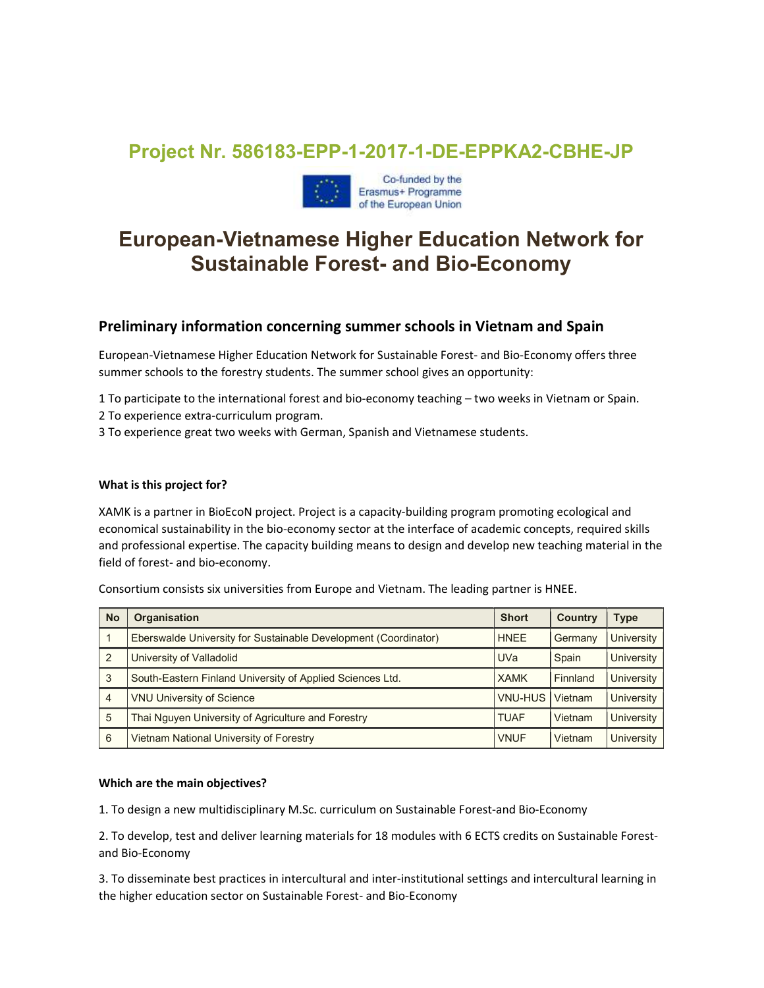## Project Nr. 586183-EPP-1-2017-1-DE-EPPKA2-CBHE-JP



# European-Vietnamese Higher Education Network for Sustainable Forest- and Bio-Economy

### Preliminary information concerning summer schools in Vietnam and Spain

European-Vietnamese Higher Education Network for Sustainable Forest- and Bio-Economy offers three summer schools to the forestry students. The summer school gives an opportunity:

1 To participate to the international forest and bio-economy teaching – two weeks in Vietnam or Spain.

2 To experience extra-curriculum program.

3 To experience great two weeks with German, Spanish and Vietnamese students.

#### What is this project for?

XAMK is a partner in BioEcoN project. Project is a capacity-building program promoting ecological and economical sustainability in the bio-economy sector at the interface of academic concepts, required skills and professional expertise. The capacity building means to design and develop new teaching material in the field of forest- and bio-economy.

Consortium consists six universities from Europe and Vietnam. The leading partner is HNEE.

| <b>No</b>      | <b>Organisation</b>                                             | <b>Short</b>   | <b>Country</b> | Type              |
|----------------|-----------------------------------------------------------------|----------------|----------------|-------------------|
|                | Eberswalde University for Sustainable Development (Coordinator) | <b>HNEE</b>    | Germany        | <b>University</b> |
| 2              | University of Valladolid                                        | <b>UVa</b>     | Spain          | <b>University</b> |
| 3              | South-Eastern Finland University of Applied Sciences Ltd.       | <b>XAMK</b>    | Finnland       | <b>University</b> |
| $\overline{4}$ | <b>VNU University of Science</b>                                | <b>VNU-HUS</b> | Vietnam        | <b>University</b> |
| 5              | Thai Nguyen University of Agriculture and Forestry              | <b>TUAF</b>    | Vietnam        | <b>University</b> |
| 6              | Vietnam National University of Forestry                         | <b>VNUF</b>    | Vietnam        | <b>University</b> |

#### Which are the main objectives?

1. To design a new multidisciplinary M.Sc. curriculum on Sustainable Forest-and Bio-Economy

2. To develop, test and deliver learning materials for 18 modules with 6 ECTS credits on Sustainable Forestand Bio-Economy

3. To disseminate best practices in intercultural and inter-institutional settings and intercultural learning in the higher education sector on Sustainable Forest- and Bio-Economy